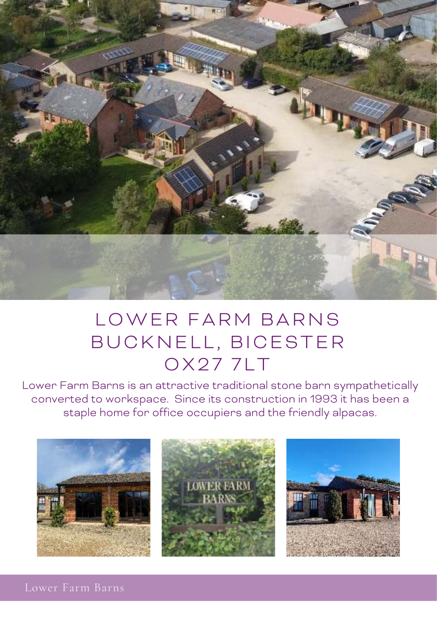

## LOWER FARM BARNS BUCKNELL, BICESTER **OX277LT**

Lower Farm Barns is an attractive traditional stone barn sympathetically converted to workspace. Since its construction in 1993 it has been a staple home for office occupiers and the friendly alpacas.



Lower Farm Barns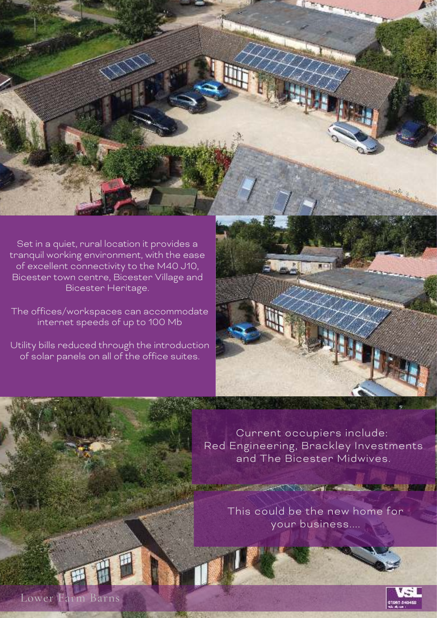Set in a quiet, rural location it provides a tranquil working environment, with the ease of excellent connectivity to the M40 J10, Bicester town centre, Bicester Village and Bicester Heritage.

The offices/workspaces can accommodate internet speeds of up to 100 Mb

Utility bills reduced through the introduction of solar panels on all of the office suites.



Current occupiers include: Red Engineering, Brackley Investments and The Bicester Midwives.

> This could be the new home for your business....

**APPENDIX AND ACCUMULATIONS AND AND ACCUMULATIONS AND ACCUMULATIONS AND ACCUMULATIONS AND ACCUMULATIONS** 



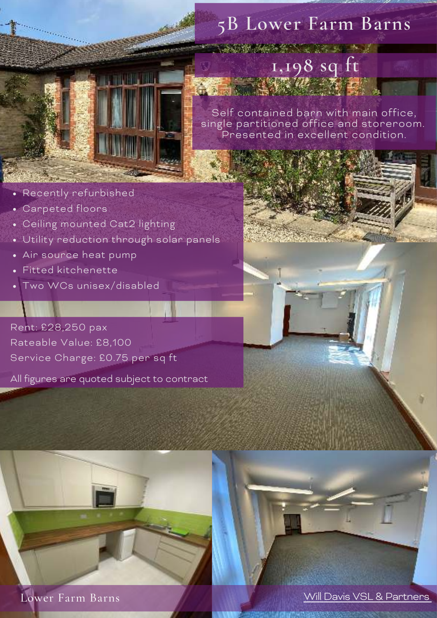

## **5B Lower Farm Barns**

**A LAND AND A REPORT OF A LAND A LAND A LAND A LAND A LAND A LAND A LAND A LAND A LAND A LAND A LAND A** 

**1,198 sq ft**

**1,198 sq ft** Self contained barn with main office, single partitioned office and storeroom. Presented in excellent condition.

- Recently refurbished
- Carpeted floors
- Ceiling mounted Cat2 lighting
- Utility reduction through solar panels
- Air source heat pump
- Fitted kitchenette
- Two WCs unisex/disabled

Rent: £28,250 pax Rateable Value: £8,100 Service Charge: £0.75 per sq ft

All figures are quoted subject to contract